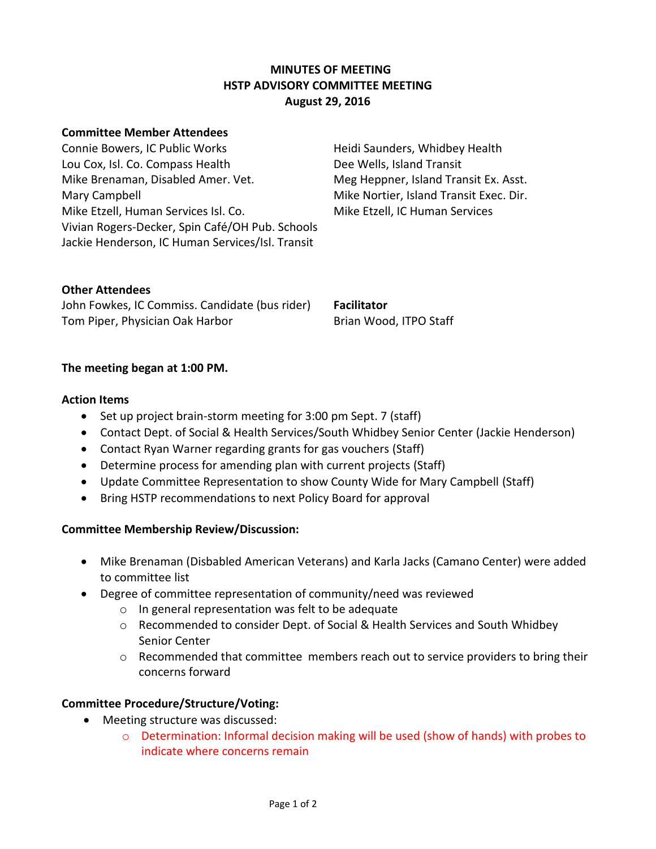## **MINUTES OF MEETING HSTP ADVISORY COMMITTEE MEETING August 29, 2016**

#### **Committee Member Attendees**

Connie Bowers, IC Public Works Heidi Saunders, Whidbey Health Lou Cox, Isl. Co. Compass Health Dee Wells, Island Transit Mike Brenaman, Disabled Amer. Vet. Meg Heppner, Island Transit Ex. Asst. Mary Campbell Mike Nortier, Island Transit Exec. Dir. Mike Etzell, Human Services Isl. Co. Mike Etzell, IC Human Services Vivian Rogers-Decker, Spin Café/OH Pub. Schools Jackie Henderson, IC Human Services/Isl. Transit

#### **Other Attendees**

John Fowkes, IC Commiss. Candidate (bus rider) **Facilitator** Tom Piper, Physician Oak Harbor Brian Wood, ITPO Staff

#### **The meeting began at 1:00 PM.**

#### **Action Items**

- Set up project brain-storm meeting for 3:00 pm Sept. 7 (staff)
- Contact Dept. of Social & Health Services/South Whidbey Senior Center (Jackie Henderson)
- Contact Ryan Warner regarding grants for gas vouchers (Staff)
- Determine process for amending plan with current projects (Staff)
- Update Committee Representation to show County Wide for Mary Campbell (Staff)
- Bring HSTP recommendations to next Policy Board for approval

## **Committee Membership Review/Discussion:**

- Mike Brenaman (Disbabled American Veterans) and Karla Jacks (Camano Center) were added to committee list
- Degree of committee representation of community/need was reviewed
	- o In general representation was felt to be adequate
	- o Recommended to consider Dept. of Social & Health Services and South Whidbey Senior Center
	- $\circ$  Recommended that committee members reach out to service providers to bring their concerns forward

## **Committee Procedure/Structure/Voting:**

- Meeting structure was discussed:
	- o Determination: Informal decision making will be used (show of hands) with probes to indicate where concerns remain